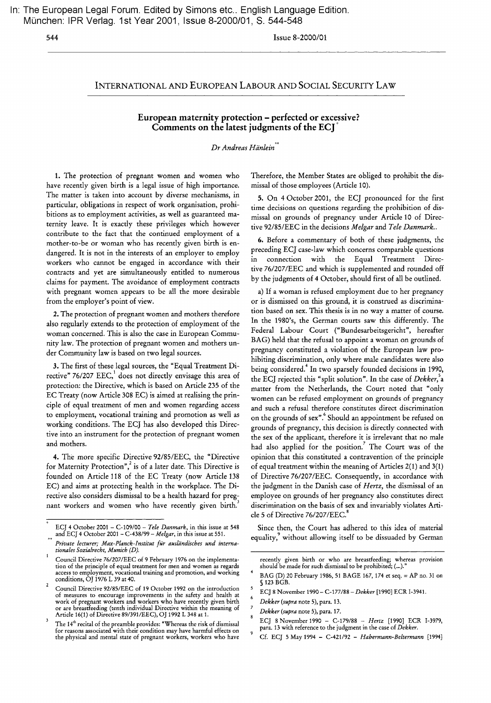In: The European Legal Forum. Edited by Simons etc.. English Language Edition. Munchen: IPR Verlag. 1st Year 2001, Issue 8-2000101, S. 544-548

544 Issue 8-2000/01

## INTERNATIONAL AND EUROPEAN LABOUR AND SOCIAL SECURITY LAW

## European maternity protection - perfected or excessive? Comments on the latest judgments of the ECj"

## *Dr Andreas Hanlein'>\**

1. The protection of pregnant women and women who have recently given birth is a legal issue of high importance. The matter is taken into account by diverse mechanisms, in particular, obligations in respect of work organisation, prohibitions as to employment activities, as well as guaranteed maternity leave. It is exactly these privileges which however contribute to the fact that the continued employment of a mother-to-be or woman who has recently given birth is endangered. It is not in the interests of an employer to employ workers who cannot be engaged in accordance with their contracts and yet are simultaneously entitled to numerous claims for payment. The avoidance of employment contracts with pregnant women appears to be all the more desirable from the employer's point of view.

2. The protection of pregnant women and mothers therefore also regularly extends to the protection of employment of the woman concerned. This is also the case in European Community law. The protection of pregnant women and mothers under Community law is based on two legal sources.

3. The first of these legal sources, the "Equal Treatment Directive" 76/207 EEC,<sup>1</sup> does not directly envisage this area of protection: the Directive, which is based on Article 235 of the EC Treaty (now Article 308 EC) is aimed at realising the principle of equal treatment of men and women regarding access to employment, vocational training and promotion as well as working conditions. The ECj has also developed this Directive into an instrument for the protection of pregnant women and mothers.

4. The more specific Directive 92/85/EEC, the "Directive for Maternity Protection", $\frac{2}{3}$  is of a later date. This Directive is founded on Article 118 of the EC Treaty (now Article 138 EC) and aims at protecting health in the workplace. The Directive also considers dismissal to be a health hazard for pregnant workers and women who have recently given birth.

Therefore, the Member States are obliged to prohibit the dismissal of those employees (Article 10).

5. On 4 October 2001, the ECJ pronounced for the first time decisions on questions regarding the prohibition of dismissal on grounds of pregnancy under Article 10 of Directive 92/85/EEC in the decisions *Melgar* and *Tele Danmark..*

6. Before a commentary of both of these judgments, the preceding ECj case-law which concerns comparable questions in connection with the Equal Treatment Directive 76/207/EEC and which is supplemented and rounded off by the judgments of 4 October, should first of all be outlined.

a) If a woman is refused employment due to her pregnancy or is dismissed on this ground, it is construed as discrimination based on sex. This thesis is in no way a matter of course. In the 1980's, the German courts saw this differently. The Federal Labour Court ("Bundesarbeitsgericht", hereafter BAG) held that the refusal to appoint a woman on grounds of pregnancy constituted a violation of the European law prohibiting discrimination, only where male candidates were also being considered.<sup>4</sup> In two sparsely founded decisions in 1990, the ECj rejected this "split solution". In the case of *Dekker,\* matter from the Netherlands, the Court noted that "only women can be refused employment on grounds of pregnancy and such a refusal therefore constitutes direct discrimination on the grounds of sex".<sup>6</sup> Should an appointment be refused on grounds of pregnancy, this decision is directly connected with the sex of the applicant, therefore it is irrelevant that no male had also applied for the position.? The Court was of the opinion that this constituted a contravention of the principle of equal treatment within the meaning of Articles 2(1) and 3(1) of Directive 76/207/EEC. Consequently, in accordance with the judgment in the Danish case of *Hertz,* the dismissal of an employee on grounds of her pregnancy also constitutes direct discrimination on the basis of sex and invariably violates Article 5 of Directive 76/207/EEC.<sup>8</sup>

Since then, the Court has adhered to this idea of material equality,<sup>9</sup> without allowing itself to be dissuaded by German

ECJ 4 October 2001 - *C-109/00* - *Tele Danmark,* in this issue at 548 and ECJ 4 October 2001 - *C-438/99* - *Melgar,* in this issue at 551.

*Private lecturer; Max-Planck-Institut fur ausliindisches und internationales Sozialrecht, Munich (D).*

Council Directive *761207/EEC* of 9 February 1976 on the implementation of the principle of equal treatment for men and women as regards access to employment, vocational training and promotion, and working conditions, OJ 1976 L 39 at 40.  $\overline{a}$ 

Council Directive 92/85/EEC of 19 October 1992 on the introduction of measures to encourage improvements in the safety and health at work of pregnant workers and workers who have recently given birth or are breastfeeding (tenth individual Directive within the meaning of Article 16(1) of Directive 89/391/EEC), OJ 1992 L 348 at 1.

 $\overline{\mathbf{3}}$ The  $14<sup>th</sup>$  recital of the preamble provides: "Whereas the risk of dismissal for reasons associated with their condition may have harmful effects on the physical and mental state of pregnant workers, workers who have

recently given birth or who are breastfeeding; whereas provision should be made for such dismissal to be prohibited; (...).

BAG (D) 20 February 1986, 51 BAGE 167, 174 et seq. = AP no. 31 on § 123 BGB. 5

ECJ 8 November 1990 - C-177/88 - *Dekker* [1990] ECR 1-3941.

*Dekker (supra* note 5), para. 13.

*Dekker (supra* note 5), para. 17.

ECJ 8November1990 - *C-179/88* - *Hertz* [1990] ECR 1-3979, para. 13 with reference to the judgment in the case of *Dekker.*

Cf. ECJ 5 May 1994 - C-421/92 - *Habermann-Beltermann [1994]*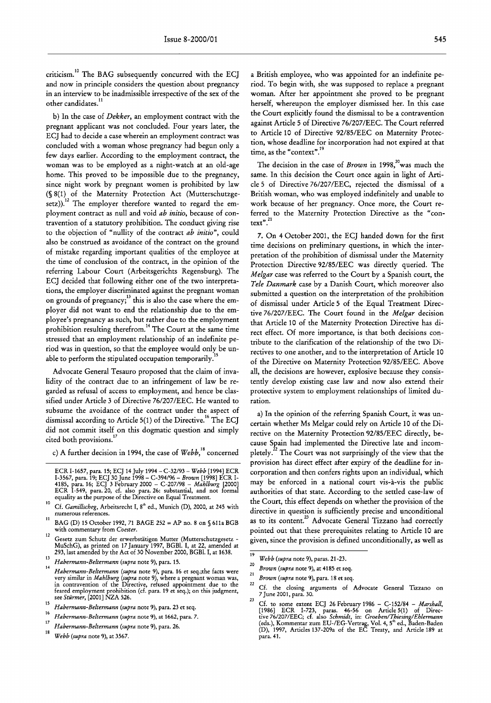criticism.<sup>10</sup> The BAG subsequently concurred with the ECJ and now in principle considers the question about pregnancy in an interview to be inadmissible irrespective of the sex of the other candidates.<sup>11</sup>

b) In the case of *Dekker,* an employment contract with the pregnant applicant was not concluded. Four years later, the *ECl* had to decide a case wherein an employment contract was concluded with a woman whose pregnancy had begun only a few days earlier. According to the employment contract, the woman was to be employed as a night-watch at an old-age home. This proved to be impossible due to the pregnancy, since night work by pregnant women is prohibited by law (§ 8(1) of the Maternity Protection Act (Mutterschutzgesetz)).<sup>12</sup> The employer therefore wanted to regard the employment contract as null and void *ab initio,* because of contravention of a statutory prohibition. The conduct giving rise to the objection of "nullity of the contract *ab initio",* could also be construed as avoidance of the contract on the ground of mistake regarding important qualities of the employee at the time of conclusion of the contract, in the opinion of the referring Labour Court (Arbeitsgerichts Regensburg). The ECJ decided that following either one of the two interpretations, the employer discriminated against the pregnant woman on grounds of pregnancy;<sup>13</sup> this is also the case where the employer did not want to end the relationship due to the employee's pregnancy as such, but rather due to the employment prohibition resulting therefrom.<sup>14</sup> The Court at the same time stressed that an employment relationship of an indefinite period was in question, so that the employee would only be unable to perform the stipulated occupation temporarily.

Advocate General Tesauro proposed that the claim of invalidity of the contract due to an infringement of law be regarded as refusal of access to employment, and hence be classified under Article 3 of Directive 76/207/EEC. He wanted to subsume the avoidance of the contract under the aspect of dismissal according to Article 5(1) of the Directive.<sup>16</sup> The *ECl* did not commit itself on this dogmatic question and simply cited both provisions.<sup>17</sup>

c) A further decision in 1994, the case of *Webb*,<sup>18</sup> concerned

a British employee, who was appointed for an indefinite period. To begin with, she was supposed to replace a pregnant woman. After her appointment she proved to be pregnant herself, whereupon the employer dismissed her. In this case the Court explicitly found the dismissal to be a contravention against Article 5 of Directive *761207IEEe.* The Court referred to Article 10 of Directive *92/85/EEC* on Maternity Protection, whose deadline for incorporation had not expired at that time, as the "context".

The decision in the case of *Brown* in 1998,<sup>20</sup> was much the same. In this decision the Court once again in light of Article 5 of Directive *761207/EEC,* rejected the dismissal of a British woman, who was employed indefinitely and unable to work because of her pregnancy. Once more, the Court referred to the Maternity Protection Directive as the "context".<sup>21</sup>

7. On 4 October *2001,* the ECJ handed down for the first time decisions on preliminary questions, in which the interpretation of the prohibition of dismissal under the Maternity Protection Directive *92/85/EEC* was directly queried. The *Melgar* case was referred to the Court by a Spanish court, the *Tele Danmark* case by a Danish Court, which moreover also submitted a question on the interpretation of the prohibition of dismissal under Article 5 of the Equal Treatment Directive *76/207/EEC.* The Court found in the *Melgar* decision that Article 10 of the Maternity Protection Directive has direct effect. Of more importance, is that both decisions contribute to the clarification of the relationship of the two Directives to one another, and to the interpretation of Article 10 of the Directive on Maternity Protection *92/85/EEe.* Above all, the decisions are however, explosive because they consistently develop existing case law and now also extend their protective system to employment relationships of limited duration.

a) In the opinion of the referring Spanish Court, it was uncertain whether Ms Melgar could rely on Article 10 of the Directive on the Maternity Protection *92/85/EEC* directly, because Spain had implemented the Directive late and incompletely.<sup>22</sup> The Court was not surprisingly of the view that the provision has direct effect after expiry of the deadline for incorporation and then confers rights upon an individual, which may be enforced in a national court vis-a-vis the public authorities of that state. According to the settled case-law of the Court, this effect depends on whether the provision of the directive in question is sufficiently precise and unconditional as to its content.<sup>23</sup> Advocate General Tizzano had correctly pointed out that these prerequisites relating to Article 10 are given, since the provision is defined unconditionally, as well as

ECR 1-1657, para. 15; ECJ 14 July 1994 - C-32/93 - *Webb* [1994] ECR 1-3567, para. 19; ECJ 30 June 1998 - C-394/96 - *Brown* [1998] ECR 1- 4185, para. 16; ECJ 3 February 2000 - C-207/98 - *Mahlburg [2000]* ECR 1-549, para.20, cf. also para. 26: substantial, and not formal equality as the purpose of the Directive on Equal Treatment.

 $10<sup>10</sup>$ <sup>10</sup> Cf. *Gamillscheg,* Arbeitsrecht I, 8" ed., Munich (D), 2000, at 245 with numerous references.

<sup>&</sup>lt;sup>11</sup> BAG (D) 15 October 1992, 71 BAGE 252 = AP no. 8 on § 611a BGB with commentary from *Coester.*

<sup>12</sup> Gesetz zum Schutz der erwerbstätigen Mutter (Mutterschutzgesetz -MuSchG), as printed on 17 January 1997, BGB!. I, at 22, amended at 293, last amended by the Act of 30 November 2000, BGB!. I, at 1638.

<sup>13</sup> *Habermann-Beltermann (supra* note 9), para. 15.

<sup>14</sup> *Habermann-Beltermann (supra* note 9), para. 16 et seq.;the facts were very similar in *Mahlburg (supra* note 9), where a pregnant woman was, in contravention of the Directive, refused appointment due to the feared employment prohibition (cf. para. 19 et seq.); on this judgment, see *Stiirmer,* [2001] NZA 526.

<sup>15</sup> *Habermann-Beltermann (supra* note 9), para. <sup>23</sup> et seq.

<sup>16</sup> *Habermann-Beltermann (supra* note 9), at 1662, para. 7.

<sup>17</sup> *Habermann-Beltermann (supra* note 9), para. 26.

<sup>18</sup> *Webb (supra* note 9), at 3567.

 $\overline{19}$ *Webb (supra* note 9), paras. 21-23.

<sup>20</sup> *Brown (supra* note 9), at 4185 et seq.

<sup>21</sup> *Brown (supra* note 9), para. 18 et seq.

<sup>22</sup> Cf. the closing arguments of Advocate General Tizzano on

<sup>7</sup>June 2001, para. 30. 23

Cf. to some extent ECJ 26 February 1986 - C-152/84 - *Marshall,* [1986] ECR 1-723, paras. 46-56 on Article 5(1) of Direc-tive 76/207/EEC; cf. also *Schmidt,* in: *Groeben/Thiesing/Ehlermann* (eds.), Kommentar zum EU-/EG-Vertrag, Vol. 4, 5<sup>m</sup> ed., Baden-Baden (D), 1997, Articles 137-209a of the EC Treaty, and Article 189 at para. 41.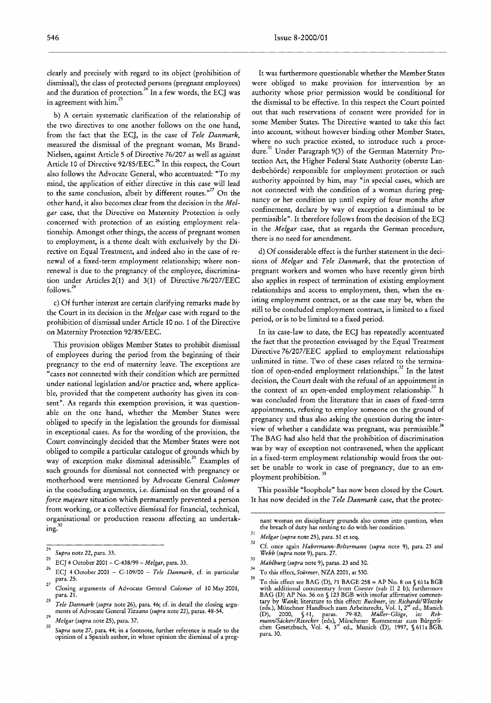clearly and precisely with regard to its object (prohibition of dismissal), the class of protected persons (pregnant employees) and the duration of protection.<sup>24</sup> In a few words, the ECJ was in agreement with him.<sup>25</sup>

b) A certain systematic clarification of the relationship of the two directives to one another follows on the one hand, from the fact that the ECj, in the case of *Tele Danmark,* measured the dismissal of the pregnant woman, Ms Brand-Nielsen, against Article S of Directive 76/207 as well as against Article 10 of Directive 92/85/EEC.<sup>26</sup> In this respect, the Court also follows the Advocate General, who accentuated: "To my mind, the application of either directive in this case will lead to the same conclusion, albeit by different routes. $n^{27}$  On the other hand, it also becomes clear from the decision in the *Melgar* case, that the Directive on Maternity Protection is only concerned with protection of an existing employment relationship. Amongst other things, the access of pregnant women to employment, is a theme dealt with exclusively by the Directive on Equal Treatment, and indeed also in the case of renewal of a fixed-term employment relationship; where nonrenewal is due to the pregnancy of the employee, discrimination under Articles 2(1) and 3(1) of Directive *76/207/EEC* follows. <sup>28</sup>

c) Of further interest are certain clarifying remarks made by the Court in its decision in the *Melgar* case with regard to the prohibition of dismissal under Article 10 no. 1 of the Directive on Maternity Protection 92/8S/EEC.

This provision obliges Member States to prohibit dismissal of employees during the period from the beginning of their pregnancy to the end of maternity leave. The exceptions are "cases not connected with their condition which are permitted under national legislation and/or practice and, where applicable, provided that the competent authority has given its consent". As regards this exemption provision, it was questionable on the one hand, whether the Member States were obliged to specify in the legislation the grounds for dismissal in exceptional cases. As for the wording of the provision, the Court convincingly decided that the Member States were not obliged to compile a particular catalogue of grounds which by way of exception make dismissal admissible.<sup>29</sup> Examples of such grounds for dismissal not connected with pregnancy or motherhood were mentioned by Advocate General *Colomer* in the concluding arguments, i.e. dismissal on the ground of a *force majeure* situation which permanently prevented a person from working, or a collective dismissal for financial, technical, organisational or production reasons affecting an undertak- • 30 mg.

It was furthermore questionable whether the Member States were obliged to make provision for intervention by an authority whose prior permission would be conditional for the dismissal to be effective. In this respect the Court pointed out that such reservations of consent were provided for in some Member States. The Directive wanted to take this fact into account, without however binding other Member States, where no such practice existed, to introduce such a procedure.<sup>31</sup> Under Paragraph 9(3) of the German Maternity Protection Act, the Higher Federal State Authority (oberste Landesbehörde) responsible for employment protection or such authority appointed by him, may "in special cases, which are not connected with the condition of a woman during pregnancy or her condition up until expiry of four months after confinement, declare by way of exception a dismissal to be permissible". It therefore follows from the decision of the EC] in the *Melgar* case, that as regards the German procedure, there is no need for amendment.

d) Of considerable effect is the further statement in the decisions of *Melgar* and *Tele Danmark,* that the protection of pregnant workers and women who have recently given birth also applies in respect of termination of existing employment relationships and access to employment, then, when the existing employment contract, or as the case may be, when the still to be concluded employment contract, is limited to a fixed period, or is to be limited to a fixed period.

In its case-law to date, the ECj has repeatedly accentuated the fact that the protection envisaged by the Equal Treatment Directive *76/207/EEC* applied to employment relationships unlimited in time. Two of these cases related to the termination of open-ended employment relationships.<sup>32</sup> In the latest decision, the Court dealt with the refusal of an appointment in the context of an open-ended employment relationship.<sup>33</sup> It was concluded from the literature that in cases of fixed-term appointments, refusing to employ someone on the ground of pregnancy and thus also asking the question during the interview of whether a candidate was pregnant, was permissible." The BAG had also held that the prohibition of discrimination was by way of exception not contravened, when the applicant in a fixed-term employment relationship would from the outset be unable to work in case of pregnancy, due to an employment prohibition.<sup>35</sup>

This possible "loophole" has now been closed by the Court. It has now decided in the *Tele Danmark* case, that the protec-

 $\overline{24}$ *Supra* note 22, para. 33.

<sup>25</sup> ECJ 4 October <sup>2001</sup> - C-438/99 - *Melgar,* para. 33.

<sup>26</sup> *ECl* 4 October <sup>2001</sup> - C-109/00 - *Tele Danmark,* cf. in particular para. 25.

<sup>27</sup> Closing arguments of Advocate General *Colomer* of 10 May 2001, para. 21.

<sup>28</sup> *Tele Danmark (supra* note 26), para. 46; cf. in detail the closing arguments of Advocate General *Tizzano (supra* note 22), paras. 48-54. 29

*Melgar (supra* note 25), para. 37. 30

*Supra* note 27, para. 44; in a footnote, further reference is made to the opinion of a Spanish author, in whose opinion the dismissal of a preg-

nant woman on disciplinary grounds also comes into question, when the breach of duty has nothing to do with her condition.

<sup>3!</sup> *Melgar (supra* note 25), para. 51 et seq.

<sup>32</sup> Cf. once again *Habermann-Beltermann (supra* note 9), para. <sup>23</sup> and *Webb (supra* note 9), para. 27. 33

*Mahlburg (supra* note 9), paras. 23 and 30.

<sup>34</sup> To this effect, *Sturmer,* NZA 2001, at 530.

<sup>35</sup> To this effect see BAG (D), <sup>71</sup> BAGE <sup>258</sup> <sup>=</sup> AP No. 8 on § 611a BGB with additional commentary from Co*ester* (sub II 2 b); furthermore BAG (D) AP No. 36 on § 123 BGB with insofar affirmative commen-<br>tary by *Wank*; literature to this effect: *Buchner*, in: *RichardilWlotzke*<br>(eds.), Münchner Handbuch zum Arbeitsrecht, Vol. 1, 2<sup>nd</sup> ed., Munich (D), 2000, § 41, paras. 79-82; *Müller-Glöge*, in: *Reb-<br><i>mann/Säcker/Rixecker* (eds), Münchener Kommentar zum Bürgerli-<br>chen Gesetzbuch, Vol. 4, 3<sup>rd</sup> ed., Munich (D), 1997, § 611a BGB, para. 30.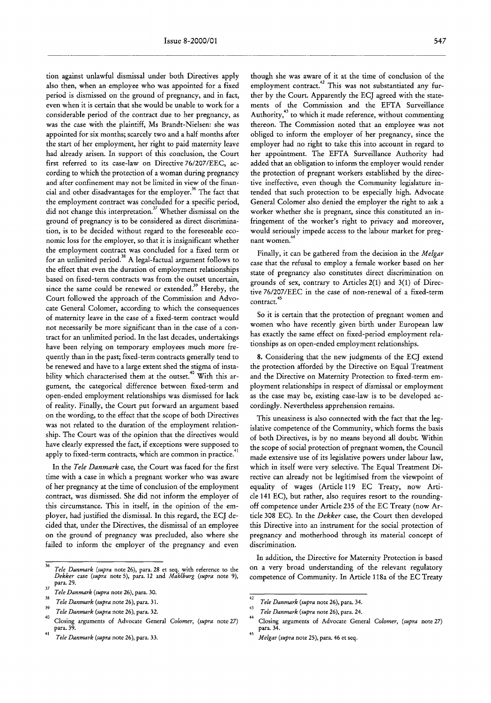tion against unlawful dismissal under both Directives apply also then, when an employee who was appointed for a fixed period is dismissed on the ground of pregnancy, and in fact, even when it is certain that she would be unable to work for a considerable period of the contract due to her pregnancy, as was the case with the plaintiff, Ms Brandt-Nielsen: she was appointed for six months; scarcely two and a half months after the start of her employment, her right to paid maternity leave had already arisen. In support of this conclusion, the Court first referred to its case-law on Directive *76/207/EEC,* according to which the protection of a woman during pregnancy and after confinement may not be limited in view of the financial and other disadvantages for the employer.<sup>36</sup> The fact that the employment contract was concluded for a specific period, did not change this interpretation.<sup>37</sup> Whether dismissal on the ground of pregnancy is to be considered as direct discrimination, is to be decided without regard to the foreseeable economic loss for the employer, so that it is insignificant whether the employment contract was concluded for a fixed term or for an unlimited period.<sup>38</sup> A legal-factual argument follows to the effect that even the duration of employment relationships based on fixed-term contracts was from the outset uncertain, since the same could be renewed or extended.<sup>39</sup> Hereby, the Court followed the approach of the Commission and Advocate General Colomer, according to which the consequences of maternity leave in the case of a fixed-term contract would not necessarily be more significant than in the case of a contract for an unlimited period. In the last decades, undertakings have been relying on temporary employees much more frequently than in the past; fixed-term contracts generally tend to be renewed and have to a large extent shed the stigma of instability which characterised them at the outset.<sup>40</sup> With this argument, the categorical difference between fixed-term and open-ended employment relationships was dismissed for lack of reality. Finally, the Court put forward an argument based on the wording, to the effect that the scope of both Directives was not related to the duration of the employment relationship. The Court was of the opinion that the directives would have clearly expressed the fact, if exceptions were supposed to apply to fixed-term contracts, which are common in practice.<sup>41</sup>

In the *Tele Danmark* case, the Court was faced for the first time with a case in which a pregnant worker who was aware of her pregnancy at the time of conclusion of the employment contract, was dismissed. She did not inform the employer of this circumstance. This in itself, in the opinion of the employer, had justified the dismissal. In this regard, the *ECl* decided that, under the Directives, the dismissal of an employee on the ground of pregnancy was precluded, also where she failed to inform the employer of the pregnancy and even though she was aware of it at the time of conclusion of the employment contract.<sup>42</sup> This was not substantiated any further by the Court. Apparently the ECJ agreed with the statements of the Commission and the EFTA Surveillance Authority,<sup>43</sup> to which it made reference, without commenting thereon. The Commission noted that an employee was not obliged to inform the employer of her pregnancy, since the employer had no right to take this into account in regard to her appointment. The EFTA Surveillance Authority had added that an obligation to inform the employer would render the protection of pregnant workers established by the directive ineffective, even though the Community legislature intended that such protection to be especially high. Advocate General Colomer also denied the employer the right to ask a worker whether she is pregnant, since this constituted an infringement of the worker's right to privacy and moreover, would seriously impede access to the labour market for pregnantwomen.

Finally, it can be gathered from the decision in the *Melgar* case that the refusal to employ a female worker based on her state of pregnancy also constitutes direct discrimination on grounds of sex, contrary to Articles 2(1) and 3(1) of Directive *761207/EEC* in the case of non-renewal of a fixed-term contract.<sup>4</sup>

So it is certain that the protection of pregnant women and women who have recently given birth under European law has exactly the same effect on fixed-period employment relationships as on open-ended employment relationships.

8. Considering that the new judgments of the *ECl* extend the protection afforded by the Directive on Equal Treatment and the Directive on Maternity Protection to fixed-term employment relationships in respect of dismissal or employment as the case may be, existing case-law is to be developed accordingly. Nevertheless apprehension remains.

This uneasiness is also connected with the fact that the legislative competence of the Community, which forms the basis of both Directives, is by no means beyond all doubt. Within the scope of social protection of pregnant women, the Council made extensive use of its legislative powers under labour law, which in itself were very selective. The Equal Treatment Directive can already not be legitimised from the viewpoint of equality of wages (Article 119 EC Treaty, now Article 141 EC), but rather, also requires resort to the roundingoff competence under Article 235 of the EC Treaty (now Article 308 EC). In the *Dekker* case, the Court then developed this Directive into an instrument for the social protection of pregnancy and motherhood through its material concept of discrimination.

In addition, the Directive for Maternity Protection is based on a very broad understanding of the relevant regulatory competence of Community. In Article 118a of the EC Treaty

 $\overline{36}$ *Tele Danmark (supra* note 26), para. 28 et seq. with reference to the *Dekker* case *(supra* note 5), para. 12 and *Mahlburg (supra* note 9), para. 29.

<sup>37</sup> *Tele Danmark (supra* note 26), para. 30. 38

*Tele Danmark (supra* note 26), para. 31.

<sup>39</sup> *Tele Danmark (supra* note 26), para. 32. 40

Closing arguments of Advocate General *Colomer, (supra* note 27) para. 39.

*<sup>41</sup> Tele Danmark (supra* note 26), para. 33.

<sup>42</sup> *Tele Danmark (supra* note 26), para. 34.

<sup>43</sup> *Tele Danmark (supra* note 26), para. 24.

<sup>44</sup> Closing arguments of Advocate General *Colomer, (supra* note 27) para. 34.

*<sup>45</sup> Melgar (supra* note 25), para. 46 et seq.